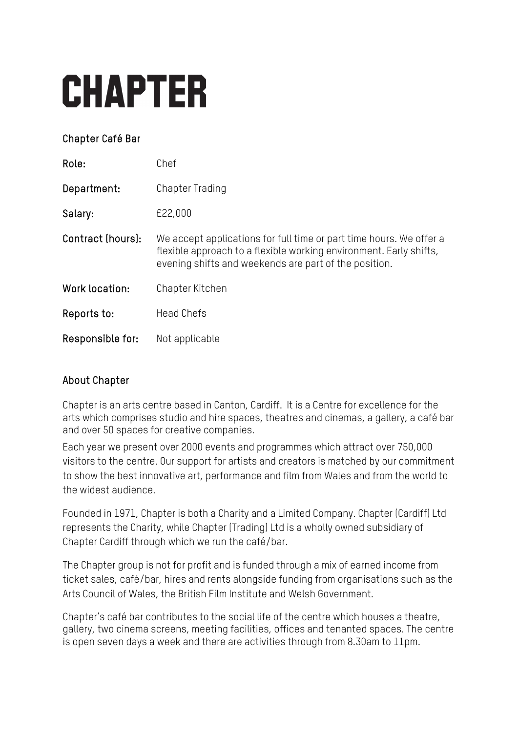# **CHAPTER**

## Chapter Café Bar

| Role:             | Chef                                                                                                                                                                                               |
|-------------------|----------------------------------------------------------------------------------------------------------------------------------------------------------------------------------------------------|
| Department:       | <b>Chapter Trading</b>                                                                                                                                                                             |
| Salary:           | £22,000                                                                                                                                                                                            |
| Contract (hours): | We accept applications for full time or part time hours. We offer a<br>flexible approach to a flexible working environment. Early shifts,<br>evening shifts and weekends are part of the position. |
| Work location:    | Chapter Kitchen                                                                                                                                                                                    |
| Reports to:       | <b>Head Chefs</b>                                                                                                                                                                                  |
| Responsible for:  | Not applicable                                                                                                                                                                                     |

## About Chapter

Chapter is an arts centre based in Canton, Cardiff. It is a Centre for excellence for the arts which comprises studio and hire spaces, theatres and cinemas, a gallery, a café bar and over 50 spaces for creative companies.

Each year we present over 2000 events and programmes which attract over 750,000 visitors to the centre. Our support for artists and creators is matched by our commitment to show the best innovative art, performance and film from Wales and from the world to the widest audience.

Founded in 1971, Chapter is both a Charity and a Limited Company. Chapter (Cardiff) Ltd represents the Charity, while Chapter (Trading) Ltd is a wholly owned subsidiary of Chapter Cardiff through which we run the café/bar.

The Chapter group is not for profit and is funded through a mix of earned income from ticket sales, café/bar, hires and rents alongside funding from organisations such as the Arts Council of Wales, the British Film Institute and Welsh Government.

Chapter's café bar contributes to the social life of the centre which houses a theatre, gallery, two cinema screens, meeting facilities, offices and tenanted spaces. The centre is open seven days a week and there are activities through from 8.30am to 11pm.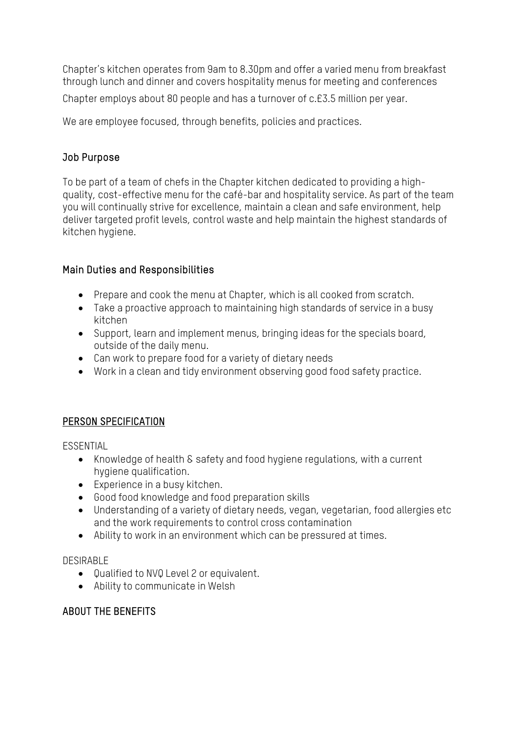Chapter's kitchen operates from 9am to 8.30pm and offer a varied menu from breakfast through lunch and dinner and covers hospitality menus for meeting and conferences

Chapter employs about 80 people and has a turnover of c.£3.5 million per year.

We are employee focused, through benefits, policies and practices.

#### Job Purpose

To be part of a team of chefs in the Chapter kitchen dedicated to providing a highquality, cost-effective menu for the café-bar and hospitality service. As part of the team you will continually strive for excellence, maintain a clean and safe environment, help deliver targeted profit levels, control waste and help maintain the highest standards of kitchen hygiene.

## Main Duties and Responsibilities

- Prepare and cook the menu at Chapter, which is all cooked from scratch.
- Take a proactive approach to maintaining high standards of service in a busy kitchen
- Support, learn and implement menus, bringing ideas for the specials board, outside of the daily menu.
- Can work to prepare food for a variety of dietary needs
- Work in a clean and tidy environment observing good food safety practice.

## PERSON SPECIFICATION

**ESSENTIAL** 

- Knowledge of health & safety and food hygiene regulations, with a current hygiene qualification.
- Experience in a busy kitchen.
- Good food knowledge and food preparation skills
- Understanding of a variety of dietary needs, vegan, vegetarian, food allergies etc and the work requirements to control cross contamination
- Ability to work in an environment which can be pressured at times.

#### DESIRABLE

- Qualified to NVQ Level 2 or equivalent.
- Ability to communicate in Welsh

## ABOUT THE BENEFITS